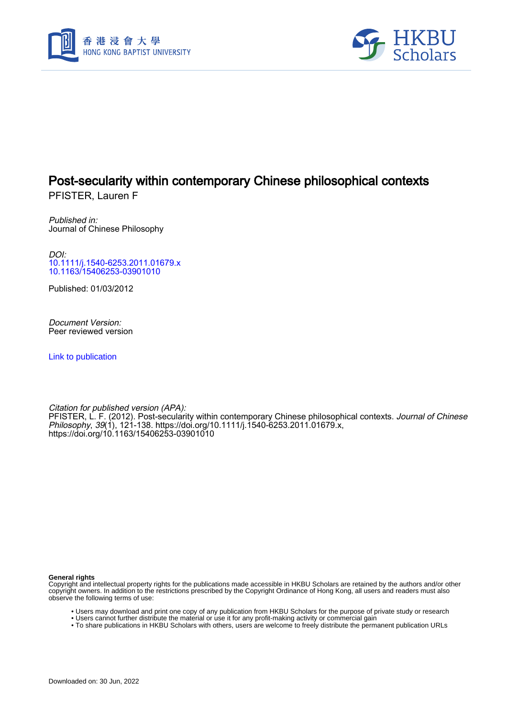



# Post-secularity within contemporary Chinese philosophical contexts

PFISTER, Lauren F

Published in: Journal of Chinese Philosophy

DOI: [10.1111/j.1540-6253.2011.01679.x](https://doi.org/10.1111/j.1540-6253.2011.01679.x) [10.1163/15406253-03901010](https://doi.org/10.1163/15406253-03901010)

Published: 01/03/2012

Document Version: Peer reviewed version

[Link to publication](https://scholars.hkbu.edu.hk/en/publications/05920769-580a-4aee-ba99-c6cd3b795bb8)

Citation for published version (APA): PFISTER, L. F. (2012). Post-secularity within contemporary Chinese philosophical contexts. *Journal of Chinese* Philosophy, 39(1), 121-138. [https://doi.org/10.1111/j.1540-6253.2011.01679.x,](https://doi.org/10.1111/j.1540-6253.2011.01679.x) <https://doi.org/10.1163/15406253-03901010>

**General rights**

Copyright and intellectual property rights for the publications made accessible in HKBU Scholars are retained by the authors and/or other copyright owners. In addition to the restrictions prescribed by the Copyright Ordinance of Hong Kong, all users and readers must also observe the following terms of use:

- Users may download and print one copy of any publication from HKBU Scholars for the purpose of private study or research
- Users cannot further distribute the material or use it for any profit-making activity or commercial gain
- To share publications in HKBU Scholars with others, users are welcome to freely distribute the permanent publication URLs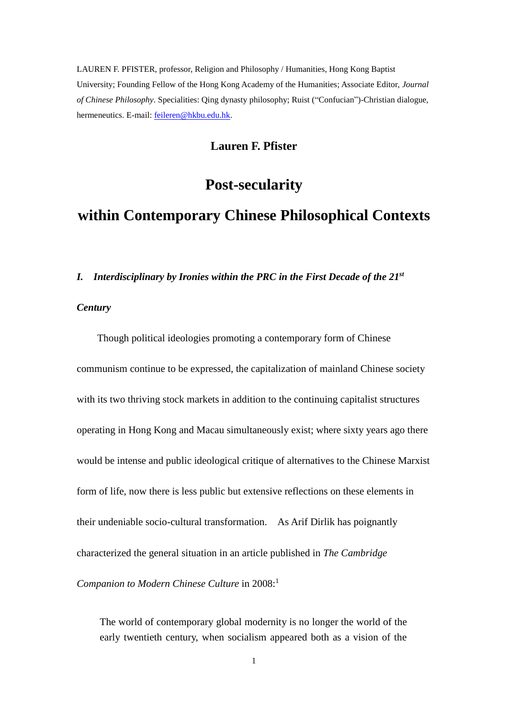LAUREN F. PFISTER, professor, Religion and Philosophy / Humanities, Hong Kong Baptist University; Founding Fellow of the Hong Kong Academy of the Humanities; Associate Editor, *Journal of Chinese Philosophy*. Specialities: Qing dynasty philosophy; Ruist ("Confucian")-Christian dialogue, hermeneutics. E-mail: [feileren@hkbu.edu.hk.](mailto:feileren@hkbu.edu.hk)

## **Lauren F. Pfister**

# **Post-secularity**

# **within Contemporary Chinese Philosophical Contexts**

#### *I. Interdisciplinary by Ironies within the PRC in the First Decade of the 21st*

#### *Century*

Though political ideologies promoting a contemporary form of Chinese communism continue to be expressed, the capitalization of mainland Chinese society with its two thriving stock markets in addition to the continuing capitalist structures operating in Hong Kong and Macau simultaneously exist; where sixty years ago there would be intense and public ideological critique of alternatives to the Chinese Marxist form of life, now there is less public but extensive reflections on these elements in their undeniable socio-cultural transformation. As Arif Dirlik has poignantly characterized the general situation in an article published in *The Cambridge Companion to Modern Chinese Culture* in 2008:<sup>1</sup>

The world of contemporary global modernity is no longer the world of the early twentieth century, when socialism appeared both as a vision of the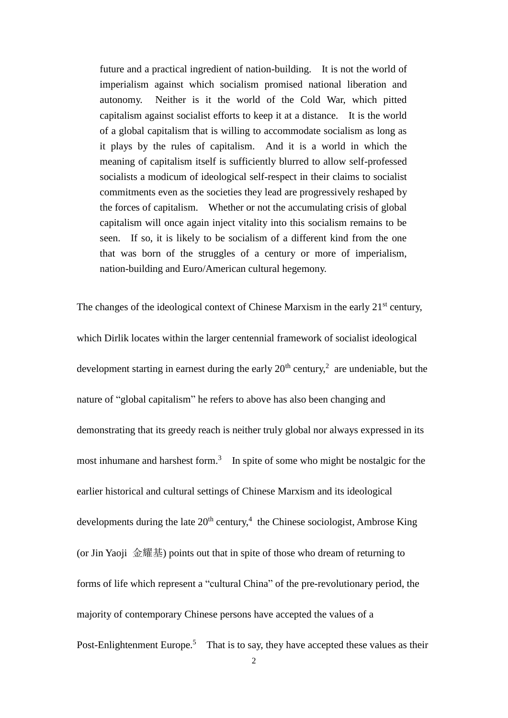future and a practical ingredient of nation-building. It is not the world of imperialism against which socialism promised national liberation and autonomy. Neither is it the world of the Cold War, which pitted capitalism against socialist efforts to keep it at a distance. It is the world of a global capitalism that is willing to accommodate socialism as long as it plays by the rules of capitalism. And it is a world in which the meaning of capitalism itself is sufficiently blurred to allow self-professed socialists a modicum of ideological self-respect in their claims to socialist commitments even as the societies they lead are progressively reshaped by the forces of capitalism. Whether or not the accumulating crisis of global capitalism will once again inject vitality into this socialism remains to be seen. If so, it is likely to be socialism of a different kind from the one that was born of the struggles of a century or more of imperialism, nation-building and Euro/American cultural hegemony.

The changes of the ideological context of Chinese Marxism in the early  $21<sup>st</sup>$  century, which Dirlik locates within the larger centennial framework of socialist ideological development starting in earnest during the early  $20<sup>th</sup>$  century,<sup>2</sup> are undeniable, but the nature of "global capitalism" he refers to above has also been changing and demonstrating that its greedy reach is neither truly global nor always expressed in its most inhumane and harshest form.<sup>3</sup> In spite of some who might be nostalgic for the earlier historical and cultural settings of Chinese Marxism and its ideological developments during the late  $20<sup>th</sup>$  century,<sup>4</sup> the Chinese sociologist, Ambrose King (or Jin Yaoji 金耀基) points out that in spite of those who dream of returning to forms of life which represent a "cultural China" of the pre-revolutionary period, the majority of contemporary Chinese persons have accepted the values of a Post-Enlightenment Europe.<sup>5</sup> That is to say, they have accepted these values as their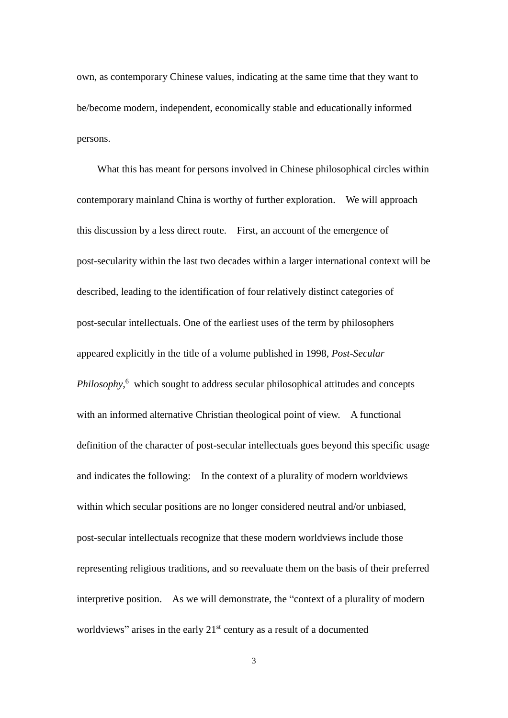own, as contemporary Chinese values, indicating at the same time that they want to be/become modern, independent, economically stable and educationally informed persons.

What this has meant for persons involved in Chinese philosophical circles within contemporary mainland China is worthy of further exploration. We will approach this discussion by a less direct route. First, an account of the emergence of post-secularity within the last two decades within a larger international context will be described, leading to the identification of four relatively distinct categories of post-secular intellectuals. One of the earliest uses of the term by philosophers appeared explicitly in the title of a volume published in 1998, *Post-Secular Philosophy*, <sup>6</sup> which sought to address secular philosophical attitudes and concepts with an informed alternative Christian theological point of view. A functional definition of the character of post-secular intellectuals goes beyond this specific usage and indicates the following: In the context of a plurality of modern worldviews within which secular positions are no longer considered neutral and/or unbiased, post-secular intellectuals recognize that these modern worldviews include those representing religious traditions, and so reevaluate them on the basis of their preferred interpretive position. As we will demonstrate, the "context of a plurality of modern worldviews" arises in the early 21<sup>st</sup> century as a result of a documented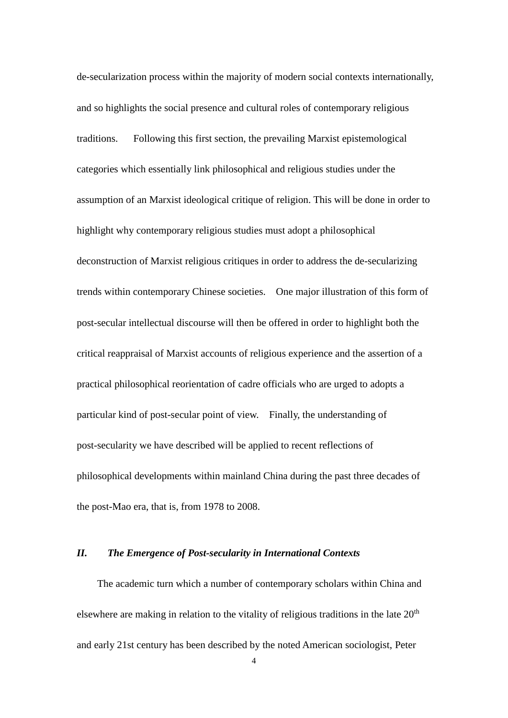de-secularization process within the majority of modern social contexts internationally, and so highlights the social presence and cultural roles of contemporary religious traditions. Following this first section, the prevailing Marxist epistemological categories which essentially link philosophical and religious studies under the assumption of an Marxist ideological critique of religion. This will be done in order to highlight why contemporary religious studies must adopt a philosophical deconstruction of Marxist religious critiques in order to address the de-secularizing trends within contemporary Chinese societies. One major illustration of this form of post-secular intellectual discourse will then be offered in order to highlight both the critical reappraisal of Marxist accounts of religious experience and the assertion of a practical philosophical reorientation of cadre officials who are urged to adopts a particular kind of post-secular point of view. Finally, the understanding of post-secularity we have described will be applied to recent reflections of philosophical developments within mainland China during the past three decades of the post-Mao era, that is, from 1978 to 2008.

#### *II. The Emergence of Post-secularity in International Contexts*

The academic turn which a number of contemporary scholars within China and elsewhere are making in relation to the vitality of religious traditions in the late  $20<sup>th</sup>$ and early 21st century has been described by the noted American sociologist, Peter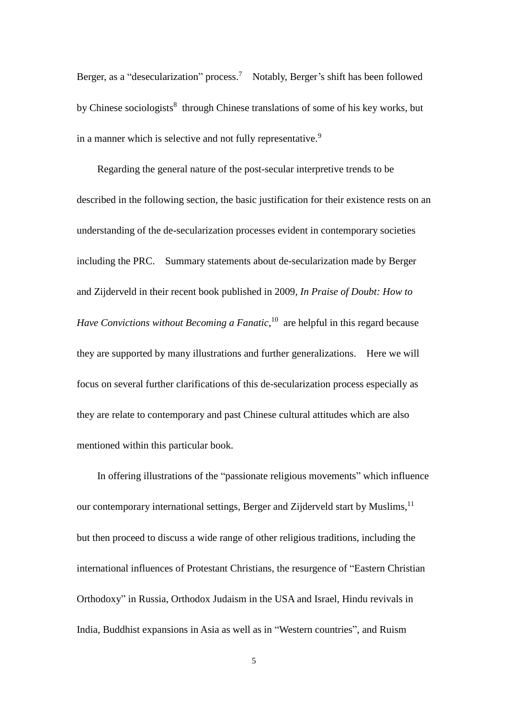Berger, as a "desecularization" process.<sup>7</sup> Notably, Berger's shift has been followed by Chinese sociologists<sup>8</sup> through Chinese translations of some of his key works, but in a manner which is selective and not fully representative.<sup>9</sup>

Regarding the general nature of the post-secular interpretive trends to be described in the following section, the basic justification for their existence rests on an understanding of the de-secularization processes evident in contemporary societies including the PRC. Summary statements about de-secularization made by Berger and Zijderveld in their recent book published in 2009, *In Praise of Doubt: How to Have Convictions without Becoming a Fanatic*,<sup>10</sup> are helpful in this regard because they are supported by many illustrations and further generalizations. Here we will focus on several further clarifications of this de-secularization process especially as they are relate to contemporary and past Chinese cultural attitudes which are also mentioned within this particular book.

In offering illustrations of the "passionate religious movements" which influence our contemporary international settings, Berger and Zijderveld start by Muslims,<sup>11</sup> but then proceed to discuss a wide range of other religious traditions, including the international influences of Protestant Christians, the resurgence of "Eastern Christian Orthodoxy" in Russia, Orthodox Judaism in the USA and Israel, Hindu revivals in India, Buddhist expansions in Asia as well as in "Western countries", and Ruism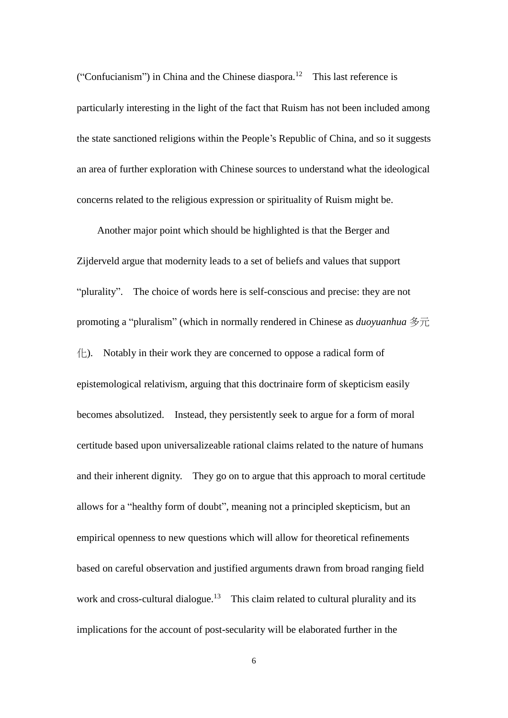("Confucianism") in China and the Chinese diaspora.<sup>12</sup> This last reference is particularly interesting in the light of the fact that Ruism has not been included among the state sanctioned religions within the People's Republic of China, and so it suggests an area of further exploration with Chinese sources to understand what the ideological concerns related to the religious expression or spirituality of Ruism might be.

Another major point which should be highlighted is that the Berger and Zijderveld argue that modernity leads to a set of beliefs and values that support "plurality". The choice of words here is self-conscious and precise: they are not promoting a "pluralism" (which in normally rendered in Chinese as *duoyuanhua* 多元  $\left\langle \frac{\cdot}{\cdot} \right\rangle$ . Notably in their work they are concerned to oppose a radical form of epistemological relativism, arguing that this doctrinaire form of skepticism easily becomes absolutized. Instead, they persistently seek to argue for a form of moral certitude based upon universalizeable rational claims related to the nature of humans and their inherent dignity. They go on to argue that this approach to moral certitude allows for a "healthy form of doubt", meaning not a principled skepticism, but an empirical openness to new questions which will allow for theoretical refinements based on careful observation and justified arguments drawn from broad ranging field work and cross-cultural dialogue.<sup>13</sup> This claim related to cultural plurality and its implications for the account of post-secularity will be elaborated further in the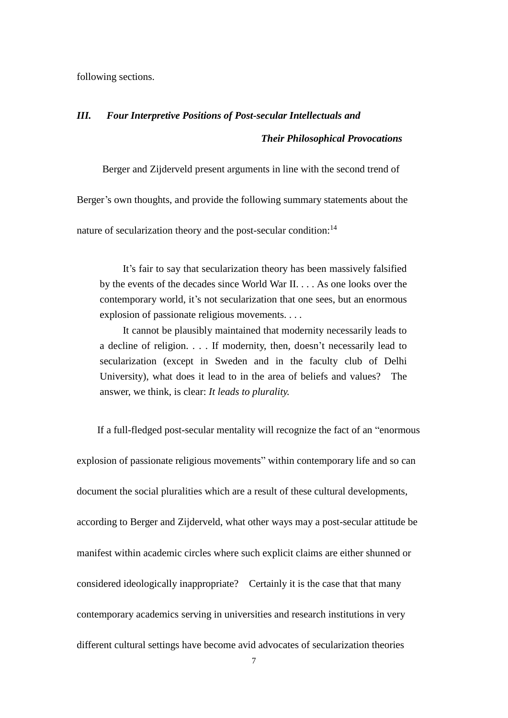following sections.

# *III. Four Interpretive Positions of Post-secular Intellectuals and Their Philosophical Provocations*

Berger and Zijderveld present arguments in line with the second trend of Berger's own thoughts, and provide the following summary statements about the nature of secularization theory and the post-secular condition:<sup>14</sup>

It's fair to say that secularization theory has been massively falsified by the events of the decades since World War II. . . . As one looks over the contemporary world, it's not secularization that one sees, but an enormous explosion of passionate religious movements. . . .

It cannot be plausibly maintained that modernity necessarily leads to a decline of religion. . . . If modernity, then, doesn't necessarily lead to secularization (except in Sweden and in the faculty club of Delhi University), what does it lead to in the area of beliefs and values? The answer, we think, is clear: *It leads to plurality.*

If a full-fledged post-secular mentality will recognize the fact of an "enormous explosion of passionate religious movements" within contemporary life and so can document the social pluralities which are a result of these cultural developments, according to Berger and Zijderveld, what other ways may a post-secular attitude be manifest within academic circles where such explicit claims are either shunned or considered ideologically inappropriate? Certainly it is the case that that many contemporary academics serving in universities and research institutions in very different cultural settings have become avid advocates of secularization theories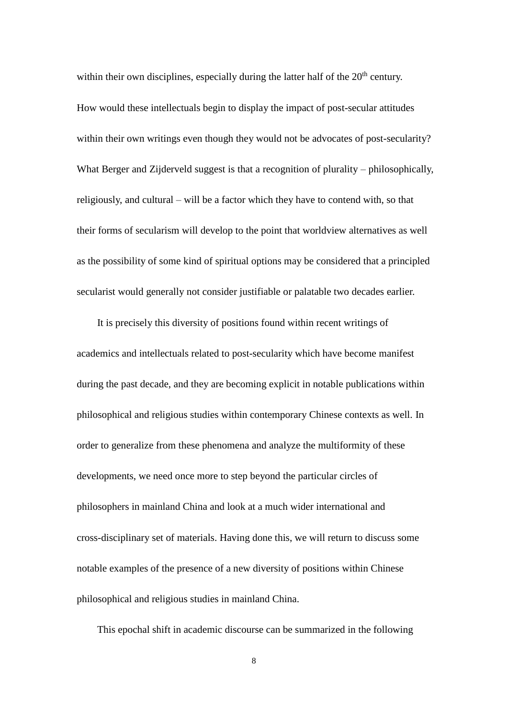within their own disciplines, especially during the latter half of the  $20<sup>th</sup>$  century. How would these intellectuals begin to display the impact of post-secular attitudes within their own writings even though they would not be advocates of post-secularity? What Berger and Zijderveld suggest is that a recognition of plurality – philosophically, religiously, and cultural – will be a factor which they have to contend with, so that their forms of secularism will develop to the point that worldview alternatives as well as the possibility of some kind of spiritual options may be considered that a principled secularist would generally not consider justifiable or palatable two decades earlier.

It is precisely this diversity of positions found within recent writings of academics and intellectuals related to post-secularity which have become manifest during the past decade, and they are becoming explicit in notable publications within philosophical and religious studies within contemporary Chinese contexts as well. In order to generalize from these phenomena and analyze the multiformity of these developments, we need once more to step beyond the particular circles of philosophers in mainland China and look at a much wider international and cross-disciplinary set of materials. Having done this, we will return to discuss some notable examples of the presence of a new diversity of positions within Chinese philosophical and religious studies in mainland China.

This epochal shift in academic discourse can be summarized in the following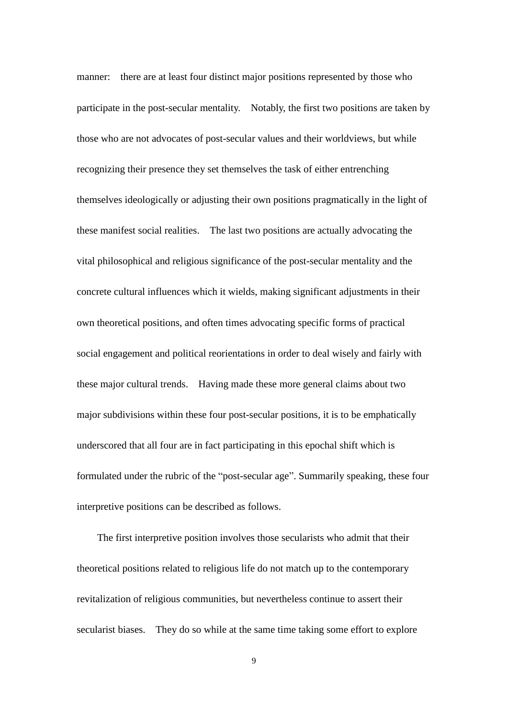manner: there are at least four distinct major positions represented by those who participate in the post-secular mentality. Notably, the first two positions are taken by those who are not advocates of post-secular values and their worldviews, but while recognizing their presence they set themselves the task of either entrenching themselves ideologically or adjusting their own positions pragmatically in the light of these manifest social realities. The last two positions are actually advocating the vital philosophical and religious significance of the post-secular mentality and the concrete cultural influences which it wields, making significant adjustments in their own theoretical positions, and often times advocating specific forms of practical social engagement and political reorientations in order to deal wisely and fairly with these major cultural trends. Having made these more general claims about two major subdivisions within these four post-secular positions, it is to be emphatically underscored that all four are in fact participating in this epochal shift which is formulated under the rubric of the "post-secular age". Summarily speaking, these four interpretive positions can be described as follows.

The first interpretive position involves those secularists who admit that their theoretical positions related to religious life do not match up to the contemporary revitalization of religious communities, but nevertheless continue to assert their secularist biases. They do so while at the same time taking some effort to explore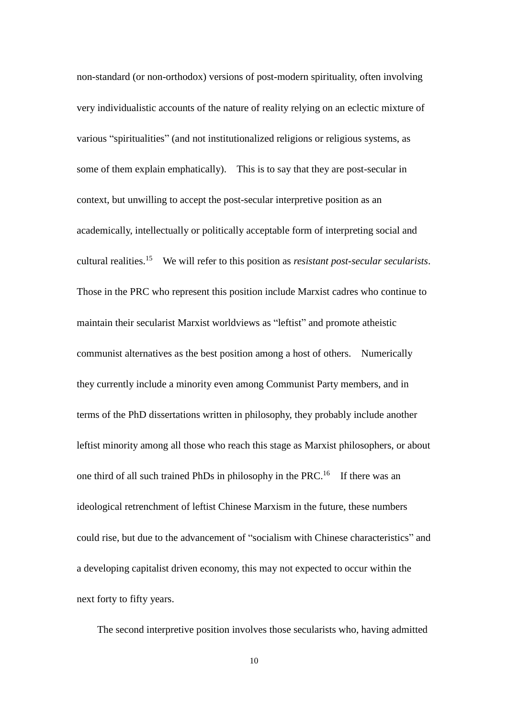non-standard (or non-orthodox) versions of post-modern spirituality, often involving very individualistic accounts of the nature of reality relying on an eclectic mixture of various "spiritualities" (and not institutionalized religions or religious systems, as some of them explain emphatically). This is to say that they are post-secular in context, but unwilling to accept the post-secular interpretive position as an academically, intellectually or politically acceptable form of interpreting social and cultural realities.<sup>15</sup> We will refer to this position as *resistant post-secular secularists*. Those in the PRC who represent this position include Marxist cadres who continue to maintain their secularist Marxist worldviews as "leftist" and promote atheistic communist alternatives as the best position among a host of others. Numerically they currently include a minority even among Communist Party members, and in terms of the PhD dissertations written in philosophy, they probably include another leftist minority among all those who reach this stage as Marxist philosophers, or about one third of all such trained PhDs in philosophy in the PRC.<sup>16</sup> If there was an ideological retrenchment of leftist Chinese Marxism in the future, these numbers could rise, but due to the advancement of "socialism with Chinese characteristics" and a developing capitalist driven economy, this may not expected to occur within the next forty to fifty years.

The second interpretive position involves those secularists who, having admitted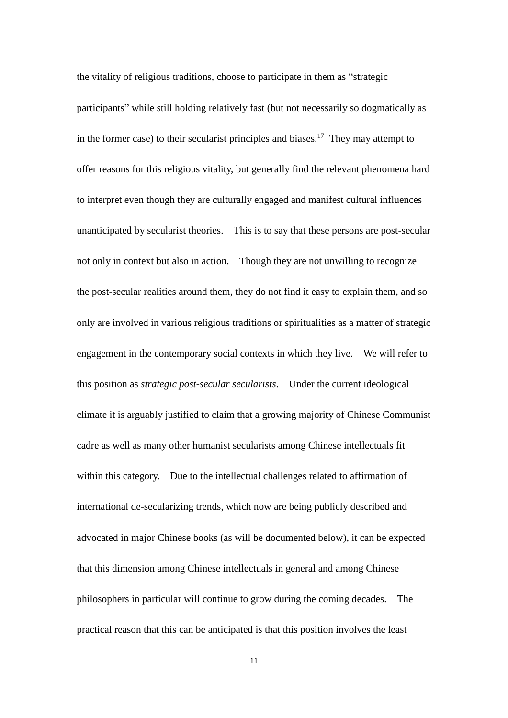the vitality of religious traditions, choose to participate in them as "strategic participants" while still holding relatively fast (but not necessarily so dogmatically as in the former case) to their secularist principles and biases.<sup>17</sup> They may attempt to offer reasons for this religious vitality, but generally find the relevant phenomena hard to interpret even though they are culturally engaged and manifest cultural influences unanticipated by secularist theories. This is to say that these persons are post-secular not only in context but also in action. Though they are not unwilling to recognize the post-secular realities around them, they do not find it easy to explain them, and so only are involved in various religious traditions or spiritualities as a matter of strategic engagement in the contemporary social contexts in which they live. We will refer to this position as *strategic post-secular secularists*. Under the current ideological climate it is arguably justified to claim that a growing majority of Chinese Communist cadre as well as many other humanist secularists among Chinese intellectuals fit within this category. Due to the intellectual challenges related to affirmation of international de-secularizing trends, which now are being publicly described and advocated in major Chinese books (as will be documented below), it can be expected that this dimension among Chinese intellectuals in general and among Chinese philosophers in particular will continue to grow during the coming decades. The practical reason that this can be anticipated is that this position involves the least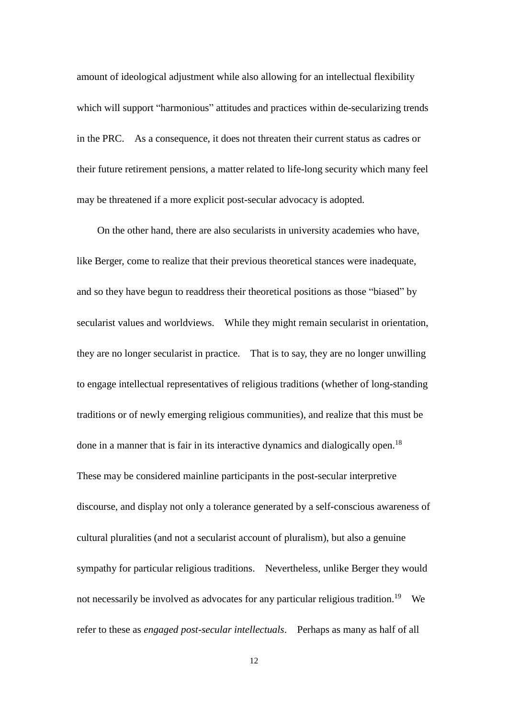amount of ideological adjustment while also allowing for an intellectual flexibility which will support "harmonious" attitudes and practices within de-secularizing trends in the PRC. As a consequence, it does not threaten their current status as cadres or their future retirement pensions, a matter related to life-long security which many feel may be threatened if a more explicit post-secular advocacy is adopted.

On the other hand, there are also secularists in university academies who have, like Berger, come to realize that their previous theoretical stances were inadequate, and so they have begun to readdress their theoretical positions as those "biased" by secularist values and worldviews. While they might remain secularist in orientation, they are no longer secularist in practice. That is to say, they are no longer unwilling to engage intellectual representatives of religious traditions (whether of long-standing traditions or of newly emerging religious communities), and realize that this must be done in a manner that is fair in its interactive dynamics and dialogically open.<sup>18</sup> These may be considered mainline participants in the post-secular interpretive discourse, and display not only a tolerance generated by a self-conscious awareness of cultural pluralities (and not a secularist account of pluralism), but also a genuine sympathy for particular religious traditions. Nevertheless, unlike Berger they would not necessarily be involved as advocates for any particular religious tradition.<sup>19</sup> We refer to these as *engaged post-secular intellectuals*. Perhaps as many as half of all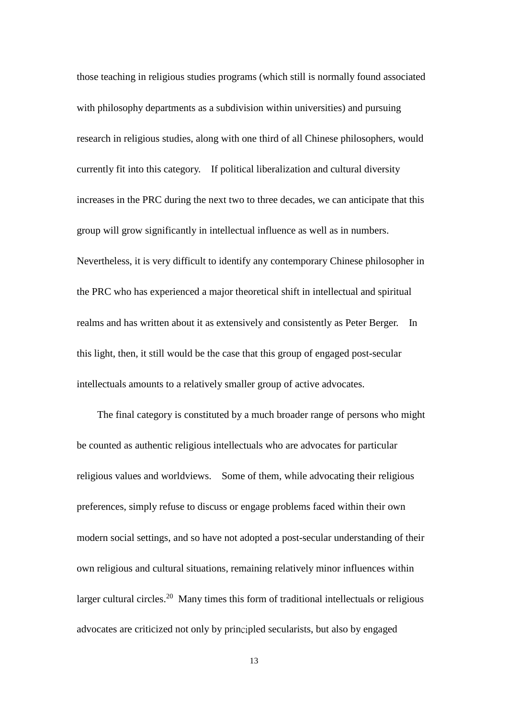those teaching in religious studies programs (which still is normally found associated with philosophy departments as a subdivision within universities) and pursuing research in religious studies, along with one third of all Chinese philosophers, would currently fit into this category. If political liberalization and cultural diversity increases in the PRC during the next two to three decades, we can anticipate that this group will grow significantly in intellectual influence as well as in numbers. Nevertheless, it is very difficult to identify any contemporary Chinese philosopher in the PRC who has experienced a major theoretical shift in intellectual and spiritual realms and has written about it as extensively and consistently as Peter Berger. In this light, then, it still would be the case that this group of engaged post-secular intellectuals amounts to a relatively smaller group of active advocates.

The final category is constituted by a much broader range of persons who might be counted as authentic religious intellectuals who are advocates for particular religious values and worldviews. Some of them, while advocating their religious preferences, simply refuse to discuss or engage problems faced within their own modern social settings, and so have not adopted a post-secular understanding of their own religious and cultural situations, remaining relatively minor influences within larger cultural circles.<sup>20</sup> Many times this form of traditional intellectuals or religious advocates are criticized not only by principled secularists, but also by engaged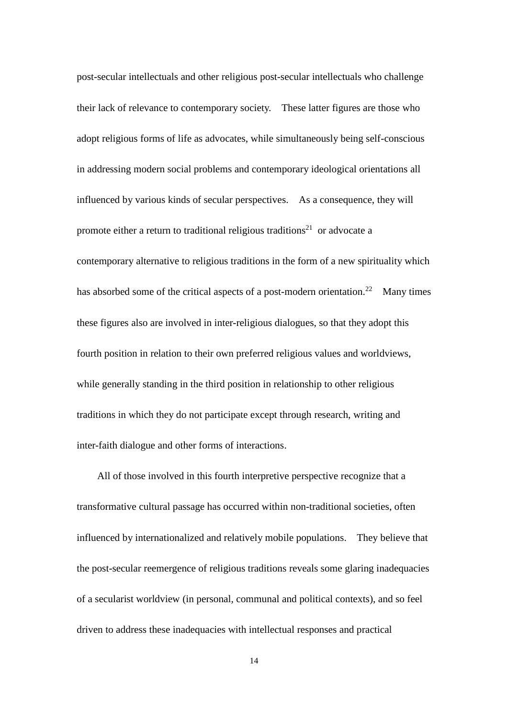post-secular intellectuals and other religious post-secular intellectuals who challenge their lack of relevance to contemporary society. These latter figures are those who adopt religious forms of life as advocates, while simultaneously being self-conscious in addressing modern social problems and contemporary ideological orientations all influenced by various kinds of secular perspectives. As a consequence, they will promote either a return to traditional religious traditions<sup>21</sup> or advocate a contemporary alternative to religious traditions in the form of a new spirituality which has absorbed some of the critical aspects of a post-modern orientation.<sup>22</sup> Many times these figures also are involved in inter-religious dialogues, so that they adopt this fourth position in relation to their own preferred religious values and worldviews, while generally standing in the third position in relationship to other religious traditions in which they do not participate except through research, writing and inter-faith dialogue and other forms of interactions.

All of those involved in this fourth interpretive perspective recognize that a transformative cultural passage has occurred within non-traditional societies, often influenced by internationalized and relatively mobile populations. They believe that the post-secular reemergence of religious traditions reveals some glaring inadequacies of a secularist worldview (in personal, communal and political contexts), and so feel driven to address these inadequacies with intellectual responses and practical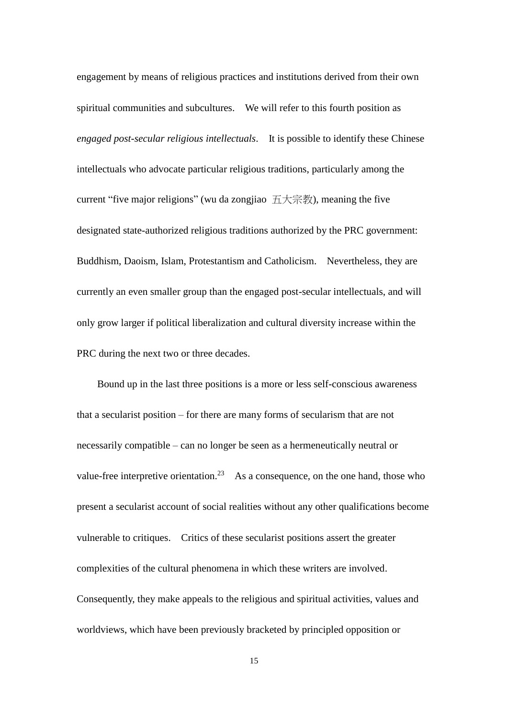engagement by means of religious practices and institutions derived from their own spiritual communities and subcultures. We will refer to this fourth position as *engaged post-secular religious intellectuals*. It is possible to identify these Chinese intellectuals who advocate particular religious traditions, particularly among the current "five major religions" (wu da zongjiao 五大宗教), meaning the five designated state-authorized religious traditions authorized by the PRC government: Buddhism, Daoism, Islam, Protestantism and Catholicism. Nevertheless, they are currently an even smaller group than the engaged post-secular intellectuals, and will only grow larger if political liberalization and cultural diversity increase within the PRC during the next two or three decades.

Bound up in the last three positions is a more or less self-conscious awareness that a secularist position – for there are many forms of secularism that are not necessarily compatible – can no longer be seen as a hermeneutically neutral or value-free interpretive orientation.<sup>23</sup> As a consequence, on the one hand, those who present a secularist account of social realities without any other qualifications become vulnerable to critiques. Critics of these secularist positions assert the greater complexities of the cultural phenomena in which these writers are involved. Consequently, they make appeals to the religious and spiritual activities, values and worldviews, which have been previously bracketed by principled opposition or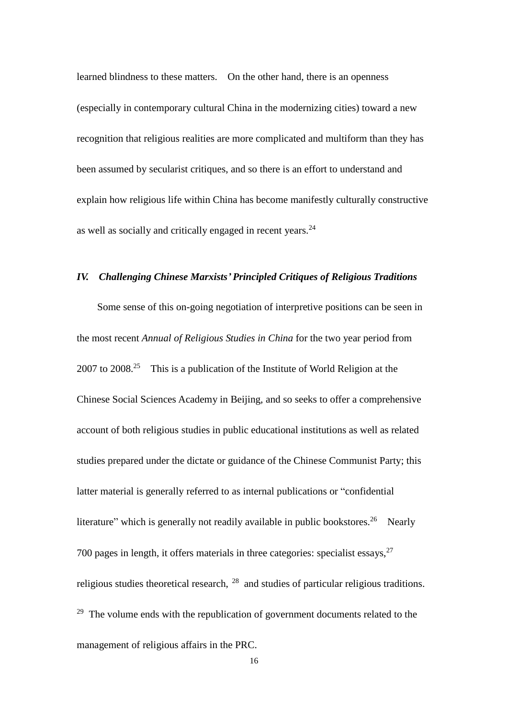learned blindness to these matters. On the other hand, there is an openness (especially in contemporary cultural China in the modernizing cities) toward a new recognition that religious realities are more complicated and multiform than they has been assumed by secularist critiques, and so there is an effort to understand and explain how religious life within China has become manifestly culturally constructive as well as socially and critically engaged in recent years.<sup>24</sup>

## *IV. Challenging Chinese Marxists' Principled Critiques of Religious Traditions*

Some sense of this on-going negotiation of interpretive positions can be seen in the most recent *Annual of Religious Studies in China* for the two year period from  $2007$  to  $2008.<sup>25</sup>$  This is a publication of the Institute of World Religion at the Chinese Social Sciences Academy in Beijing, and so seeks to offer a comprehensive account of both religious studies in public educational institutions as well as related studies prepared under the dictate or guidance of the Chinese Communist Party; this latter material is generally referred to as internal publications or "confidential literature" which is generally not readily available in public bookstores.<sup>26</sup> Nearly 700 pages in length, it offers materials in three categories: specialist essays, $27$ religious studies theoretical research, <sup>28</sup> and studies of particular religious traditions.  $29$  The volume ends with the republication of government documents related to the management of religious affairs in the PRC.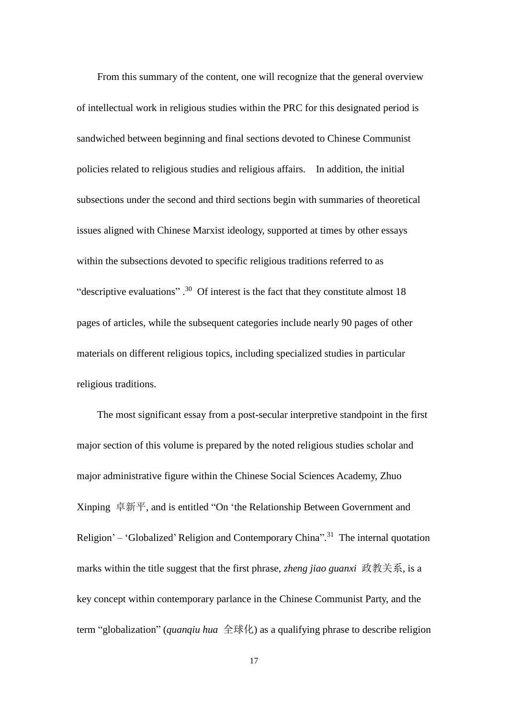From this summary of the content, one will recognize that the general overview of intellectual work in religious studies within the PRC for this designated period is sandwiched between beginning and final sections devoted to Chinese Communist policies related to religious studies and religious affairs. In addition, the initial subsections under the second and third sections begin with summaries of theoretical issues aligned with Chinese Marxist ideology, supported at times by other essays within the subsections devoted to specific religious traditions referred to as "descriptive evaluations".<sup>30</sup> Of interest is the fact that they constitute almost 18 pages of articles, while the subsequent categories include nearly 90 pages of other materials on different religious topics, including specialized studies in particular religious traditions.

The most significant essay from a post-secular interpretive standpoint in the first major section of this volume is prepared by the noted religious studies scholar and major administrative figure within the Chinese Social Sciences Academy, Zhuo Xinping 卓新平, and is entitled "On 'the Relationship Between Government and Religion' – 'Globalized' Religion and Contemporary China".<sup>31</sup> The internal quotation marks within the title suggest that the first phrase, *zheng jiao guanxi* 政教关系, is a key concept within contemporary parlance in the Chinese Communist Party, and the term "globalization" (*quanqiu hua* 全球化) as a qualifying phrase to describe religion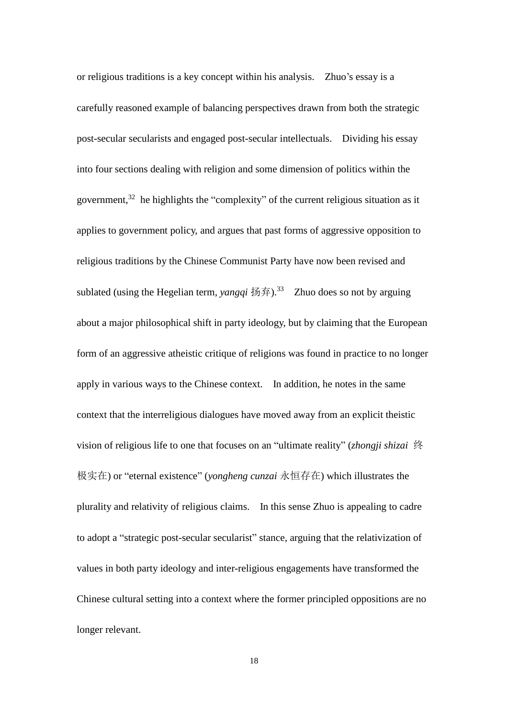or religious traditions is a key concept within his analysis. Zhuo's essay is a carefully reasoned example of balancing perspectives drawn from both the strategic post-secular secularists and engaged post-secular intellectuals. Dividing his essay into four sections dealing with religion and some dimension of politics within the government,  $32$  he highlights the "complexity" of the current religious situation as it applies to government policy, and argues that past forms of aggressive opposition to religious traditions by the Chinese Communist Party have now been revised and sublated (using the Hegelian term, *yangqi* 扬弃).<sup>33</sup> Zhuo does so not by arguing about a major philosophical shift in party ideology, but by claiming that the European form of an aggressive atheistic critique of religions was found in practice to no longer apply in various ways to the Chinese context. In addition, he notes in the same context that the interreligious dialogues have moved away from an explicit theistic vision of religious life to one that focuses on an "ultimate reality" (*zhongji shizai* 终 极实在) or "eternal existence" (*yongheng cunzai* 永恒存在) which illustrates the plurality and relativity of religious claims. In this sense Zhuo is appealing to cadre to adopt a "strategic post-secular secularist" stance, arguing that the relativization of values in both party ideology and inter-religious engagements have transformed the Chinese cultural setting into a context where the former principled oppositions are no longer relevant.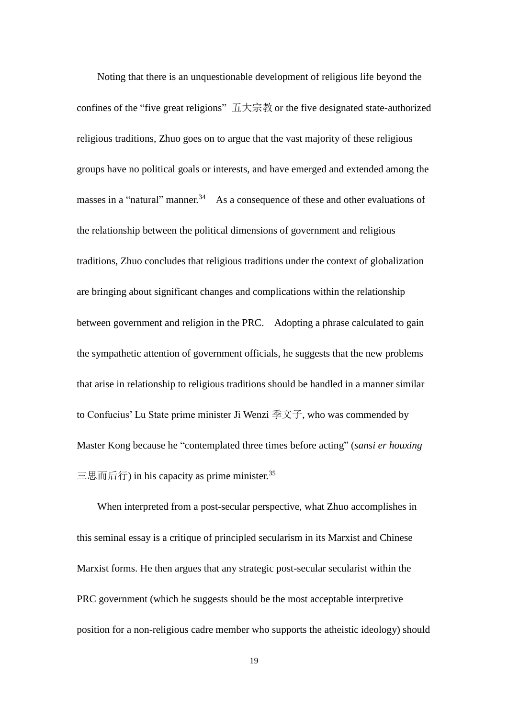Noting that there is an unquestionable development of religious life beyond the confines of the "five great religions" 五大宗教 or the five designated state-authorized religious traditions, Zhuo goes on to argue that the vast majority of these religious groups have no political goals or interests, and have emerged and extended among the masses in a "natural" manner.<sup>34</sup> As a consequence of these and other evaluations of the relationship between the political dimensions of government and religious traditions, Zhuo concludes that religious traditions under the context of globalization are bringing about significant changes and complications within the relationship between government and religion in the PRC. Adopting a phrase calculated to gain the sympathetic attention of government officials, he suggests that the new problems that arise in relationship to religious traditions should be handled in a manner similar to Confucius' Lu State prime minister Ji Wenzi 季文子, who was commended by Master Kong because he "contemplated three times before acting" (*sansi er houxing* 三思而后行) in his capacity as prime minister. 35

When interpreted from a post-secular perspective, what Zhuo accomplishes in this seminal essay is a critique of principled secularism in its Marxist and Chinese Marxist forms. He then argues that any strategic post-secular secularist within the PRC government (which he suggests should be the most acceptable interpretive position for a non-religious cadre member who supports the atheistic ideology) should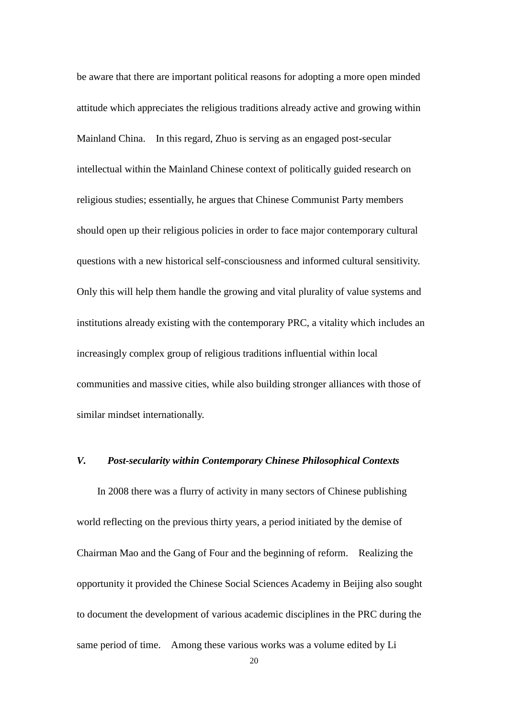be aware that there are important political reasons for adopting a more open minded attitude which appreciates the religious traditions already active and growing within Mainland China. In this regard, Zhuo is serving as an engaged post-secular intellectual within the Mainland Chinese context of politically guided research on religious studies; essentially, he argues that Chinese Communist Party members should open up their religious policies in order to face major contemporary cultural questions with a new historical self-consciousness and informed cultural sensitivity. Only this will help them handle the growing and vital plurality of value systems and institutions already existing with the contemporary PRC, a vitality which includes an increasingly complex group of religious traditions influential within local communities and massive cities, while also building stronger alliances with those of similar mindset internationally.

#### *V. Post-secularity within Contemporary Chinese Philosophical Contexts*

In 2008 there was a flurry of activity in many sectors of Chinese publishing world reflecting on the previous thirty years, a period initiated by the demise of Chairman Mao and the Gang of Four and the beginning of reform. Realizing the opportunity it provided the Chinese Social Sciences Academy in Beijing also sought to document the development of various academic disciplines in the PRC during the same period of time. Among these various works was a volume edited by Li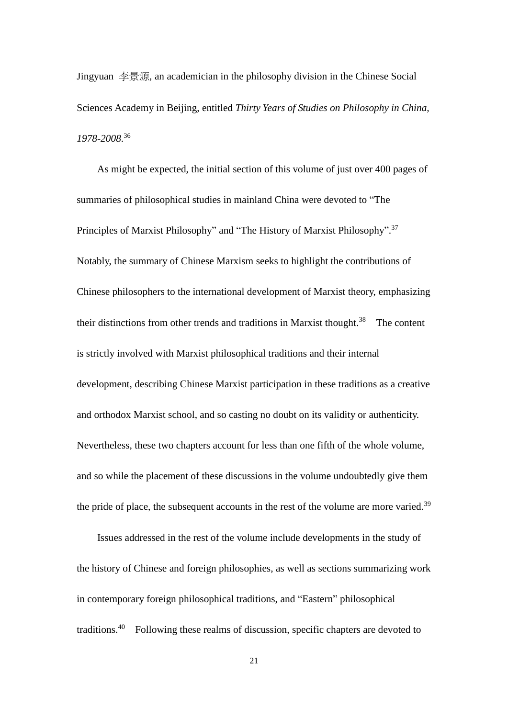Jingyuan 李景源, an academician in the philosophy division in the Chinese Social Sciences Academy in Beijing, entitled *Thirty Years of Studies on Philosophy in China, 1978-2008*. 36

As might be expected, the initial section of this volume of just over 400 pages of summaries of philosophical studies in mainland China were devoted to "The Principles of Marxist Philosophy" and "The History of Marxist Philosophy".<sup>37</sup> Notably, the summary of Chinese Marxism seeks to highlight the contributions of Chinese philosophers to the international development of Marxist theory, emphasizing their distinctions from other trends and traditions in Marxist thought.<sup>38</sup> The content is strictly involved with Marxist philosophical traditions and their internal development, describing Chinese Marxist participation in these traditions as a creative and orthodox Marxist school, and so casting no doubt on its validity or authenticity. Nevertheless, these two chapters account for less than one fifth of the whole volume, and so while the placement of these discussions in the volume undoubtedly give them the pride of place, the subsequent accounts in the rest of the volume are more varied.<sup>39</sup>

Issues addressed in the rest of the volume include developments in the study of the history of Chinese and foreign philosophies, as well as sections summarizing work in contemporary foreign philosophical traditions, and "Eastern" philosophical traditions. 40 Following these realms of discussion, specific chapters are devoted to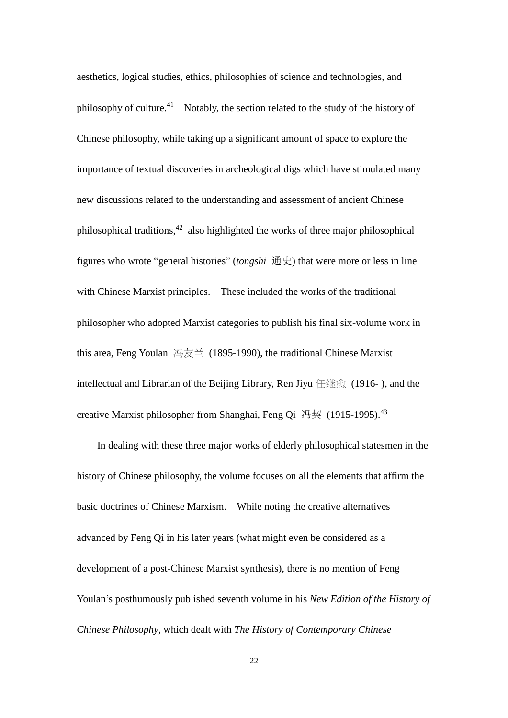aesthetics, logical studies, ethics, philosophies of science and technologies, and philosophy of culture.<sup>41</sup> Notably, the section related to the study of the history of Chinese philosophy, while taking up a significant amount of space to explore the importance of textual discoveries in archeological digs which have stimulated many new discussions related to the understanding and assessment of ancient Chinese philosophical traditions, $42$  also highlighted the works of three major philosophical figures who wrote "general histories" (*tongshi* 通史) that were more or less in line with Chinese Marxist principles. These included the works of the traditional philosopher who adopted Marxist categories to publish his final six-volume work in this area, Feng Youlan 冯友兰 (1895-1990), the traditional Chinese Marxist intellectual and Librarian of the Beijing Library, Ren Jiyu 任继愈 (1916- ), and the creative Marxist philosopher from Shanghai, Feng Qi 冯契 (1915-1995).<sup>43</sup>

In dealing with these three major works of elderly philosophical statesmen in the history of Chinese philosophy, the volume focuses on all the elements that affirm the basic doctrines of Chinese Marxism. While noting the creative alternatives advanced by Feng Qi in his later years (what might even be considered as a development of a post-Chinese Marxist synthesis), there is no mention of Feng Youlan's posthumously published seventh volume in his *New Edition of the History of Chinese Philosophy*, which dealt with *The History of Contemporary Chinese*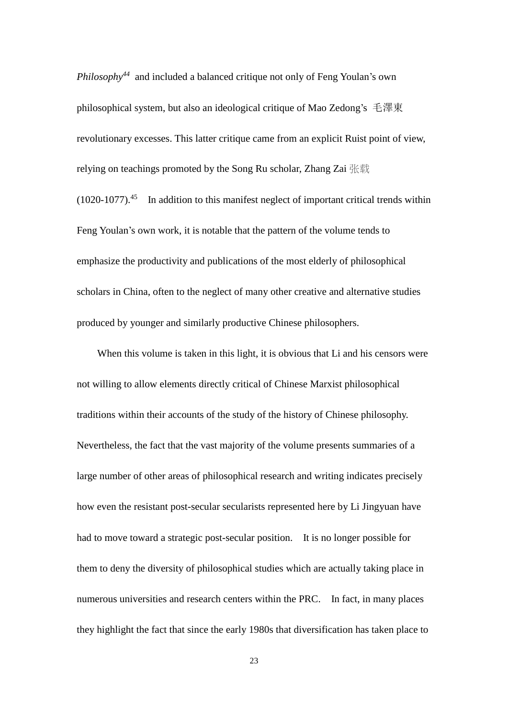*Philosophy<sup>44</sup>* and included a balanced critique not only of Feng Youlan's own philosophical system, but also an ideological critique of Mao Zedong's 毛澤東 revolutionary excesses. This latter critique came from an explicit Ruist point of view, relying on teachings promoted by the Song Ru scholar, Zhang Zai 张载  $(1020-1077).$ <sup>45</sup> In addition to this manifest neglect of important critical trends within Feng Youlan's own work, it is notable that the pattern of the volume tends to emphasize the productivity and publications of the most elderly of philosophical scholars in China, often to the neglect of many other creative and alternative studies produced by younger and similarly productive Chinese philosophers.

When this volume is taken in this light, it is obvious that Li and his censors were not willing to allow elements directly critical of Chinese Marxist philosophical traditions within their accounts of the study of the history of Chinese philosophy. Nevertheless, the fact that the vast majority of the volume presents summaries of a large number of other areas of philosophical research and writing indicates precisely how even the resistant post-secular secularists represented here by Li Jingyuan have had to move toward a strategic post-secular position. It is no longer possible for them to deny the diversity of philosophical studies which are actually taking place in numerous universities and research centers within the PRC. In fact, in many places they highlight the fact that since the early 1980s that diversification has taken place to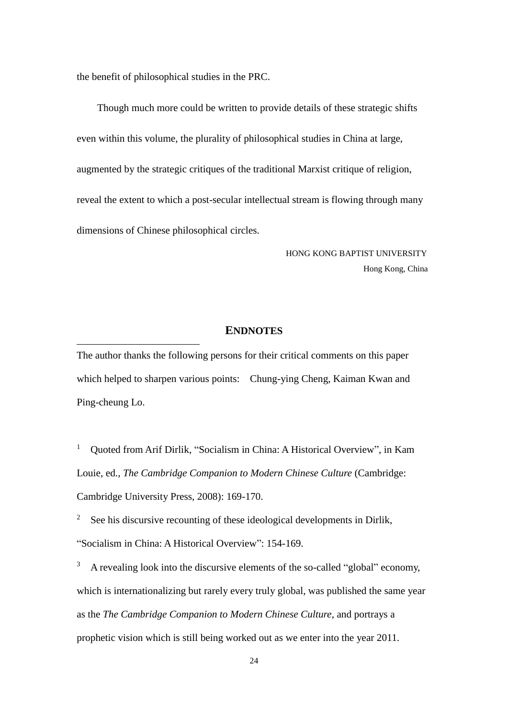the benefit of philosophical studies in the PRC.

1

Though much more could be written to provide details of these strategic shifts even within this volume, the plurality of philosophical studies in China at large, augmented by the strategic critiques of the traditional Marxist critique of religion, reveal the extent to which a post-secular intellectual stream is flowing through many dimensions of Chinese philosophical circles.

> HONG KONG BAPTIST UNIVERSITY Hong Kong, China

## **ENDNOTES**

The author thanks the following persons for their critical comments on this paper which helped to sharpen various points: Chung-ying Cheng, Kaiman Kwan and Ping-cheung Lo.

<sup>1</sup> Quoted from Arif Dirlik, "Socialism in China: A Historical Overview", in Kam Louie, ed., *The Cambridge Companion to Modern Chinese Culture* (Cambridge: Cambridge University Press, 2008): 169-170.

<sup>2</sup> See his discursive recounting of these ideological developments in Dirlik, "Socialism in China: A Historical Overview": 154-169.

<sup>3</sup> A revealing look into the discursive elements of the so-called "global" economy, which is internationalizing but rarely every truly global, was published the same year as the *The Cambridge Companion to Modern Chinese Culture*, and portrays a prophetic vision which is still being worked out as we enter into the year 2011.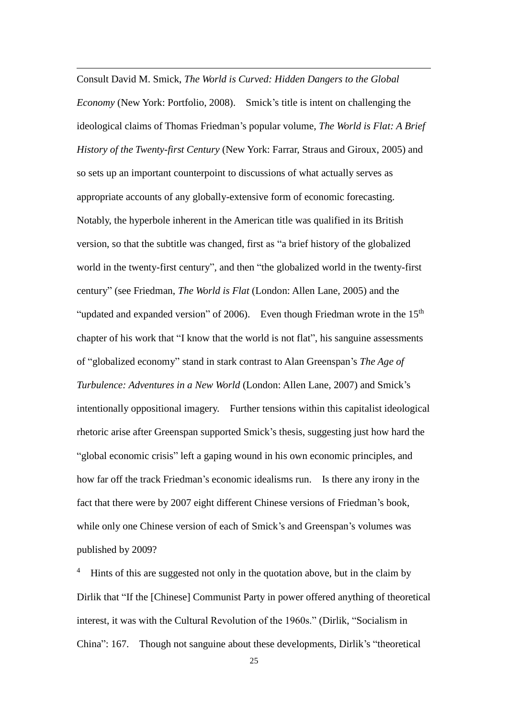Consult David M. Smick, *The World is Curved: Hidden Dangers to the Global Economy* (New York: Portfolio, 2008). Smick's title is intent on challenging the ideological claims of Thomas Friedman's popular volume, *The World is Flat: A Brief History of the Twenty-first Century* (New York: Farrar, Straus and Giroux, 2005) and so sets up an important counterpoint to discussions of what actually serves as appropriate accounts of any globally-extensive form of economic forecasting. Notably, the hyperbole inherent in the American title was qualified in its British version, so that the subtitle was changed, first as "a brief history of the globalized world in the twenty-first century", and then "the globalized world in the twenty-first century" (see Friedman, *The World is Flat* (London: Allen Lane, 2005) and the "updated and expanded version" of 2006). Even though Friedman wrote in the  $15<sup>th</sup>$ chapter of his work that "I know that the world is not flat", his sanguine assessments of "globalized economy" stand in stark contrast to Alan Greenspan's *The Age of Turbulence: Adventures in a New World* (London: Allen Lane, 2007) and Smick's intentionally oppositional imagery. Further tensions within this capitalist ideological rhetoric arise after Greenspan supported Smick's thesis, suggesting just how hard the "global economic crisis" left a gaping wound in his own economic principles, and how far off the track Friedman's economic idealisms run. Is there any irony in the fact that there were by 2007 eight different Chinese versions of Friedman's book, while only one Chinese version of each of Smick's and Greenspan's volumes was published by 2009?

<u>.</u>

Hints of this are suggested not only in the quotation above, but in the claim by Dirlik that "If the [Chinese] Communist Party in power offered anything of theoretical interest, it was with the Cultural Revolution of the 1960s." (Dirlik, "Socialism in China": 167. Though not sanguine about these developments, Dirlik's "theoretical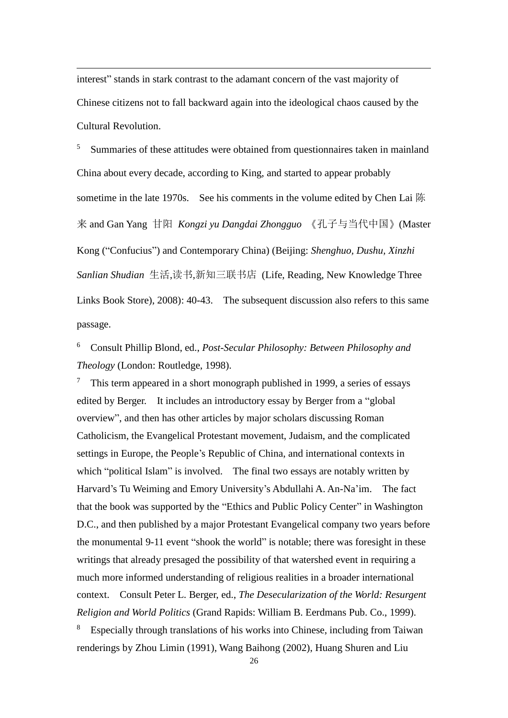interest" stands in stark contrast to the adamant concern of the vast majority of Chinese citizens not to fall backward again into the ideological chaos caused by the Cultural Revolution.

<u>.</u>

<sup>5</sup> Summaries of these attitudes were obtained from questionnaires taken in mainland China about every decade, according to King, and started to appear probably sometime in the late 1970s. See his comments in the volume edited by Chen Lai 陈 来 and Gan Yang 甘阳 *Kongzi yu Dangdai Zhongguo* 《孔子与当代中国》(Master Kong ("Confucius") and Contemporary China) (Beijing: *Shenghuo, Dushu, Xinzhi Sanlian Shudian* 生活,读书,新知三联书店 (Life, Reading, New Knowledge Three Links Book Store), 2008): 40-43. The subsequent discussion also refers to this same passage.

<sup>6</sup> Consult Phillip Blond, ed., *Post-Secular Philosophy: Between Philosophy and Theology* (London: Routledge, 1998).

<sup>7</sup> This term appeared in a short monograph published in 1999, a series of essays edited by Berger. It includes an introductory essay by Berger from a "global overview", and then has other articles by major scholars discussing Roman Catholicism, the Evangelical Protestant movement, Judaism, and the complicated settings in Europe, the People's Republic of China, and international contexts in which "political Islam" is involved. The final two essays are notably written by Harvard's Tu Weiming and Emory University's Abdullahi A. An-Na'im. The fact that the book was supported by the "Ethics and Public Policy Center" in Washington D.C., and then published by a major Protestant Evangelical company two years before the monumental 9-11 event "shook the world" is notable; there was foresight in these writings that already presaged the possibility of that watershed event in requiring a much more informed understanding of religious realities in a broader international context. Consult Peter L. Berger, ed., *The Desecularization of the World: Resurgent Religion and World Politics* (Grand Rapids: William B. Eerdmans Pub. Co., 1999).

<sup>8</sup> Especially through translations of his works into Chinese, including from Taiwan renderings by Zhou Limin (1991), Wang Baihong (2002), Huang Shuren and Liu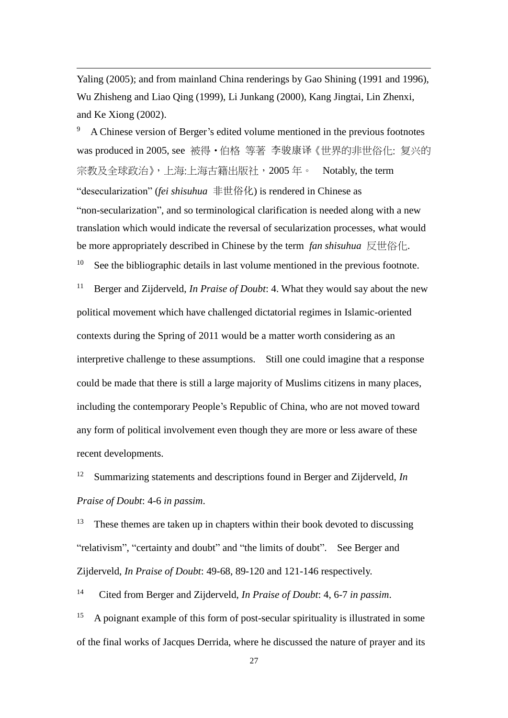Yaling (2005); and from mainland China renderings by Gao Shining (1991 and 1996), Wu Zhisheng and Liao Qing (1999), Li Junkang (2000), Kang Jingtai, Lin Zhenxi, and Ke Xiong (2002).

<u>.</u>

<sup>9</sup> A Chinese version of Berger's edited volume mentioned in the previous footnotes was produced in 2005, see 被得•伯格 等著 李骏康译《世界的非世俗化: 复兴的 宗教及全球政治》,上海:上海古籍出版社, 2005年。 Notably, the term "desecularization" (*fei shisuhua* 非世俗化) is rendered in Chinese as "non-secularization", and so terminological clarification is needed along with a new translation which would indicate the reversal of secularization processes, what would be more appropriately described in Chinese by the term *fan shisuhua* 反世俗化.  $10<sup>10</sup>$  See the bibliographic details in last volume mentioned in the previous footnote.

<sup>11</sup> Berger and Zijderveld, *In Praise of Doubt*: 4. What they would say about the new political movement which have challenged dictatorial regimes in Islamic-oriented contexts during the Spring of 2011 would be a matter worth considering as an interpretive challenge to these assumptions. Still one could imagine that a response could be made that there is still a large majority of Muslims citizens in many places, including the contemporary People's Republic of China, who are not moved toward any form of political involvement even though they are more or less aware of these recent developments.

<sup>12</sup> Summarizing statements and descriptions found in Berger and Zijderveld, *In Praise of Doubt*: 4-6 *in passim*.

 $13$  These themes are taken up in chapters within their book devoted to discussing "relativism", "certainty and doubt" and "the limits of doubt". See Berger and Zijderveld, *In Praise of Doubt*: 49-68, 89-120 and 121-146 respectively.

14 Cited from Berger and Zijderveld, *In Praise of Doubt*: 4, 6-7 *in passim*.

<sup>15</sup> A poignant example of this form of post-secular spirituality is illustrated in some of the final works of Jacques Derrida, where he discussed the nature of prayer and its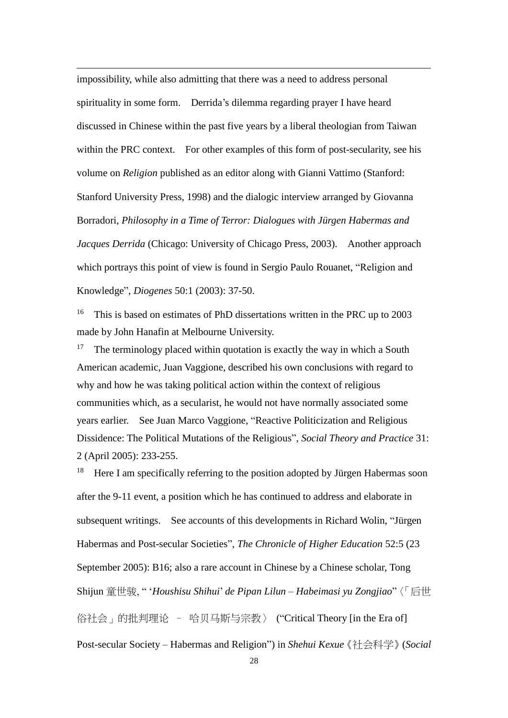impossibility, while also admitting that there was a need to address personal spirituality in some form. Derrida's dilemma regarding prayer I have heard discussed in Chinese within the past five years by a liberal theologian from Taiwan within the PRC context. For other examples of this form of post-secularity, see his volume on *Religion* published as an editor along with Gianni Vattimo (Stanford: Stanford University Press, 1998) and the dialogic interview arranged by Giovanna Borradori, *Philosophy in a Time of Terror: Dialogues with Jürgen Habermas and Jacques Derrida* (Chicago: University of Chicago Press, 2003). Another approach which portrays this point of view is found in Sergio Paulo Rouanet, "Religion and Knowledge", *Diogenes* 50:1 (2003): 37-50.

<u>.</u>

<sup>16</sup> This is based on estimates of PhD dissertations written in the PRC up to 2003 made by John Hanafin at Melbourne University.

<sup>17</sup> The terminology placed within quotation is exactly the way in which a South American academic, Juan Vaggione, described his own conclusions with regard to why and how he was taking political action within the context of religious communities which, as a secularist, he would not have normally associated some years earlier. See Juan Marco Vaggione, "Reactive Politicization and Religious Dissidence: The Political Mutations of the Religious", *Social Theory and Practice* 31: 2 (April 2005): 233-255.

<sup>18</sup> Here I am specifically referring to the position adopted by Jürgen Habermas soon after the 9-11 event, a position which he has continued to address and elaborate in subsequent writings. See accounts of this developments in Richard Wolin, "Jürgen Habermas and Post-secular Societies", *The Chronicle of Higher Education* 52:5 (23 September 2005): B16; also a rare account in Chinese by a Chinese scholar, Tong Shijun 童世骏, " '*Houshisu Shihui*' *de Pipan Lilun – Habeimasi yu Zongjiao*"〈「后世 俗社会」的批判理论 – 哈贝马斯与宗教〉 ("Critical Theory [in the Era of] Post-secular Society – Habermas and Religion") in *Shehui Kexue*《社会科学》(*Social*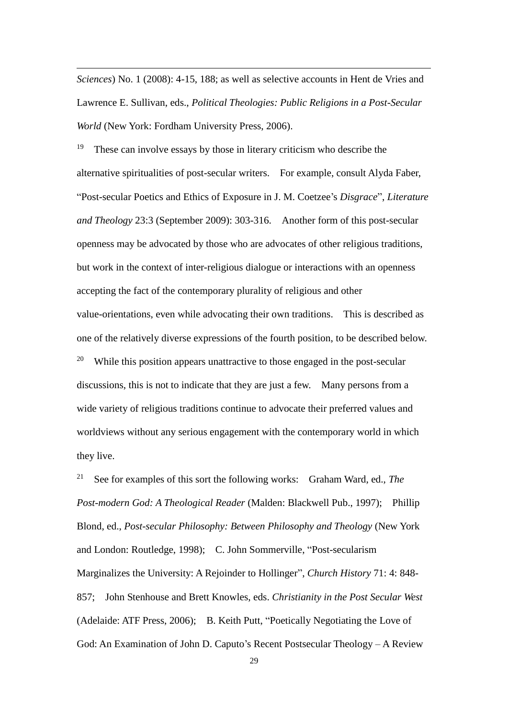*Sciences*) No. 1 (2008): 4-15, 188; as well as selective accounts in Hent de Vries and Lawrence E. Sullivan, eds., *Political Theologies: Public Religions in a Post-Secular World* (New York: Fordham University Press, 2006).

<u>.</u>

<sup>19</sup> These can involve essays by those in literary criticism who describe the alternative spiritualities of post-secular writers. For example, consult Alyda Faber, "Post-secular Poetics and Ethics of Exposure in J. M. Coetzee's *Disgrace*", *Literature and Theology* 23:3 (September 2009): 303-316. Another form of this post-secular openness may be advocated by those who are advocates of other religious traditions, but work in the context of inter-religious dialogue or interactions with an openness accepting the fact of the contemporary plurality of religious and other value-orientations, even while advocating their own traditions. This is described as one of the relatively diverse expressions of the fourth position, to be described below. <sup>20</sup> While this position appears unattractive to those engaged in the post-secular discussions, this is not to indicate that they are just a few. Many persons from a wide variety of religious traditions continue to advocate their preferred values and worldviews without any serious engagement with the contemporary world in which they live.

<sup>21</sup> See for examples of this sort the following works: Graham Ward, ed., *The Post-modern God: A Theological Reader* (Malden: Blackwell Pub., 1997); Phillip Blond, ed., *Post-secular Philosophy: Between Philosophy and Theology* (New York and London: Routledge, 1998); C. John Sommerville, "Post-secularism Marginalizes the University: A Rejoinder to Hollinger", *Church History* 71: 4: 848- 857; John Stenhouse and Brett Knowles, eds. *Christianity in the Post Secular West* (Adelaide: ATF Press, 2006); B. Keith Putt, "Poetically Negotiating the Love of God: An Examination of John D. Caputo's Recent Postsecular Theology – A Review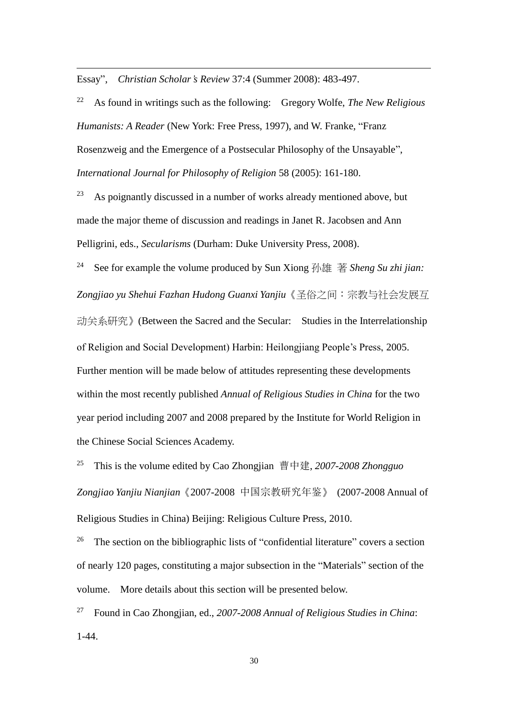Essay", *Christian Scholar's Review* 37:4 (Summer 2008): 483-497.

<u>.</u>

<sup>22</sup> As found in writings such as the following: Gregory Wolfe, *The New Religious Humanists: A Reader* (New York: Free Press, 1997), and W. Franke, "Franz Rosenzweig and the Emergence of a Postsecular Philosophy of the Unsayable", *International Journal for Philosophy of Religion* 58 (2005): 161-180.

 $23$  As poignantly discussed in a number of works already mentioned above, but made the major theme of discussion and readings in Janet R. Jacobsen and Ann Pelligrini, eds., *Secularisms* (Durham: Duke University Press, 2008).

<sup>24</sup> See for example the volume produced by Sun Xiong 孙雄 著 *Sheng Su zhi jian: Zongjiao yu Shehui Fazhan Hudong Guanxi Yanjiu*《圣俗之间:宗教与社会发展互 动关系研究》(Between the Sacred and the Secular: Studies in the Interrelationship of Religion and Social Development) Harbin: Heilongjiang People's Press, 2005. Further mention will be made below of attitudes representing these developments within the most recently published *Annual of Religious Studies in China* for the two year period including 2007 and 2008 prepared by the Institute for World Religion in the Chinese Social Sciences Academy.

<sup>25</sup> This is the volume edited by Cao Zhongjian 曹中建, *2007-2008 Zhongguo Zongjiao Yanjiu Nianjian*《2007-2008 中国宗教研究年鉴》 (2007-2008 Annual of Religious Studies in China) Beijing: Religious Culture Press, 2010.

<sup>26</sup> The section on the bibliographic lists of "confidential literature" covers a section of nearly 120 pages, constituting a major subsection in the "Materials" section of the volume. More details about this section will be presented below.

<sup>27</sup> Found in Cao Zhongjian, ed., *2007-2008 Annual of Religious Studies in China*: 1-44.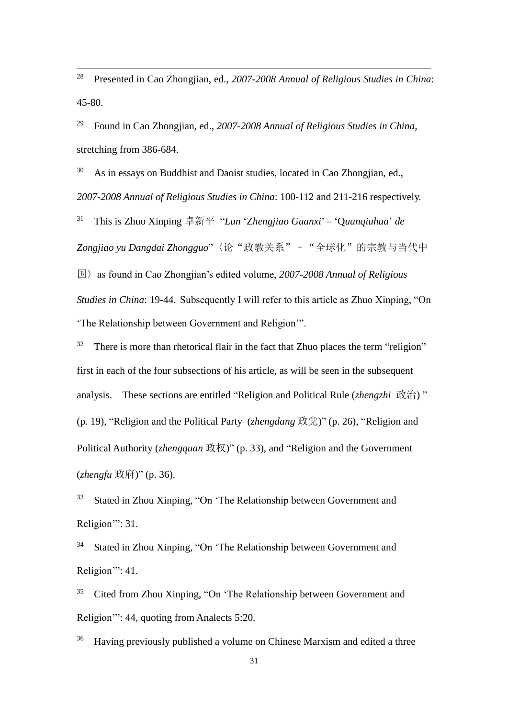<sup>28</sup> Presented in Cao Zhongjian, ed., *2007-2008 Annual of Religious Studies in China*: 45-80.

<u>.</u>

<sup>29</sup> Found in Cao Zhongjian, ed., *2007-2008 Annual of Religious Studies in China*, stretching from 386-684.

 $30$  As in essays on Buddhist and Daoist studies, located in Cao Zhongjian, ed., *2007-2008 Annual of Religious Studies in China*: 100-112 and 211-216 respectively.

<sup>31</sup> This is Zhuo Xinping 卓新平 "*Lun* 'Z*hengjiao Guanxi*' *–* 'Q*uanqiuhua*' *de Zongjiao yu Dangdai Zhongguo*"〈论"政教关系"–"全球化"的宗教与当代中

国〉as found in Cao Zhongjian's edited volume, *2007-2008 Annual of Religious Studies in China*: 19-44. Subsequently I will refer to this article as Zhuo Xinping. "On 'The Relationship between Government and Religion'".

 $32$  There is more than rhetorical flair in the fact that Zhuo places the term "religion" first in each of the four subsections of his article, as will be seen in the subsequent analysis. These sections are entitled "Religion and Political Rule (*zhengzhi* 政治) " (p. 19), "Religion and the Political Party (*zhengdang* 政党)" (p. 26), "Religion and Political Authority (*zhengquan* 政权)" (p. 33), and "Religion and the Government (*zhengfu* 政府)" (p. 36).

<sup>33</sup> Stated in Zhou Xinping, "On 'The Relationship between Government and Religion'": 31.

<sup>34</sup> Stated in Zhou Xinping, "On 'The Relationship between Government and Religion": 41.

<sup>35</sup> Cited from Zhou Xinping, "On 'The Relationship between Government and Religion'": 44, quoting from Analects 5:20.

<sup>36</sup> Having previously published a volume on Chinese Marxism and edited a three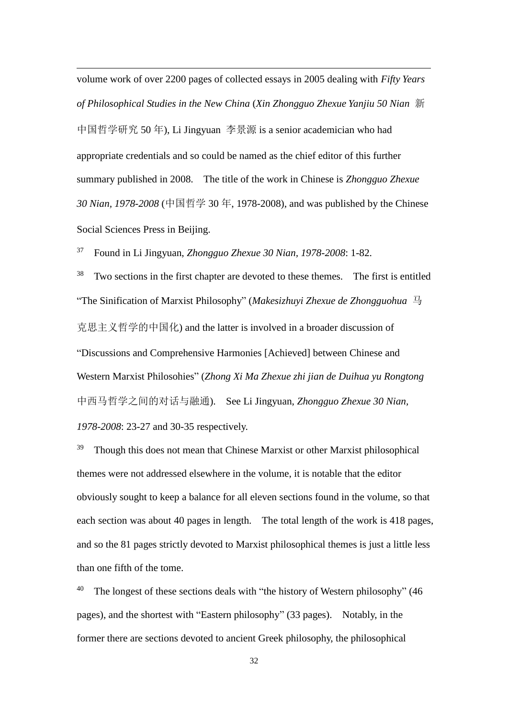volume work of over 2200 pages of collected essays in 2005 dealing with *Fifty Years of Philosophical Studies in the New China* (*Xin Zhongguo Zhexue Yanjiu 50 Nian* 新 中国哲学研究 50 年), Li Jingyuan 李景源 is a senior academician who had appropriate credentials and so could be named as the chief editor of this further summary published in 2008. The title of the work in Chinese is *Zhongguo Zhexue 30 Nian, 1978-2008* (中国哲学 30 年, 1978-2008), and was published by the Chinese Social Sciences Press in Beijing.

<sup>37</sup> Found in Li Jingyuan, *Zhongguo Zhexue 30 Nian, 1978-2008*: 1-82.

<u>.</u>

<sup>38</sup> Two sections in the first chapter are devoted to these themes. The first is entitled "The Sinification of Marxist Philosophy" (*Makesizhuyi Zhexue de Zhongguohua* 马 克思主义哲学的中国化) and the latter is involved in a broader discussion of "Discussions and Comprehensive Harmonies [Achieved] between Chinese and Western Marxist Philosohies" (*Zhong Xi Ma Zhexue zhi jian de Duihua yu Rongtong* 中西马哲学之间的对话与融通). See Li Jingyuan, *Zhongguo Zhexue 30 Nian, 1978-2008*: 23-27 and 30-35 respectively.

 $39$  Though this does not mean that Chinese Marxist or other Marxist philosophical themes were not addressed elsewhere in the volume, it is notable that the editor obviously sought to keep a balance for all eleven sections found in the volume, so that each section was about 40 pages in length. The total length of the work is 418 pages, and so the 81 pages strictly devoted to Marxist philosophical themes is just a little less than one fifth of the tome.

<sup>40</sup> The longest of these sections deals with "the history of Western philosophy" (46 pages), and the shortest with "Eastern philosophy" (33 pages). Notably, in the former there are sections devoted to ancient Greek philosophy, the philosophical

32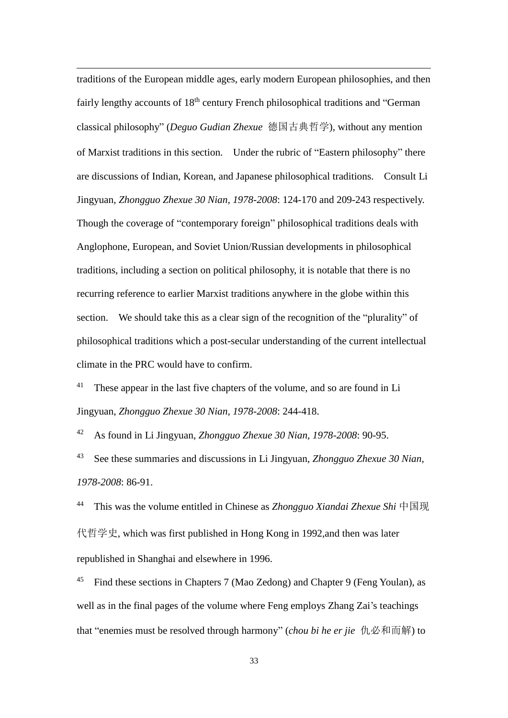traditions of the European middle ages, early modern European philosophies, and then fairly lengthy accounts of 18<sup>th</sup> century French philosophical traditions and "German classical philosophy" (*Deguo Gudian Zhexue* 德国古典哲学), without any mention of Marxist traditions in this section. Under the rubric of "Eastern philosophy" there are discussions of Indian, Korean, and Japanese philosophical traditions. Consult Li Jingyuan, *Zhongguo Zhexue 30 Nian, 1978-2008*: 124-170 and 209-243 respectively. Though the coverage of "contemporary foreign" philosophical traditions deals with Anglophone, European, and Soviet Union/Russian developments in philosophical traditions, including a section on political philosophy, it is notable that there is no recurring reference to earlier Marxist traditions anywhere in the globe within this section. We should take this as a clear sign of the recognition of the "plurality" of philosophical traditions which a post-secular understanding of the current intellectual climate in the PRC would have to confirm.

<u>.</u>

<sup>41</sup> These appear in the last five chapters of the volume, and so are found in Li Jingyuan, *Zhongguo Zhexue 30 Nian, 1978-2008*: 244-418.

<sup>42</sup> As found in Li Jingyuan, *Zhongguo Zhexue 30 Nian, 1978-2008*: 90-95.

<sup>43</sup> See these summaries and discussions in Li Jingyuan, *Zhongguo Zhexue 30 Nian, 1978-2008*: 86-91.

<sup>44</sup> This was the volume entitled in Chinese as *Zhongguo Xiandai Zhexue Shi* 中国现 代哲学史, which was first published in Hong Kong in 1992,and then was later republished in Shanghai and elsewhere in 1996.

<sup>45</sup> Find these sections in Chapters 7 (Mao Zedong) and Chapter 9 (Feng Youlan), as well as in the final pages of the volume where Feng employs Zhang Zai's teachings that "enemies must be resolved through harmony" (*chou bi he er jie* 仇必和而解) to